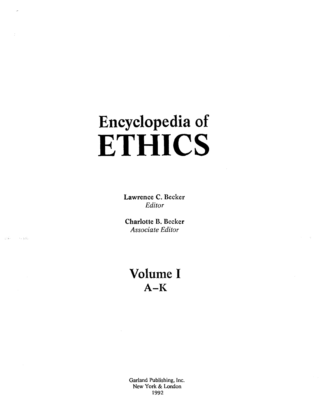# **Encyclopedia of ETHICS**

**Lawrence C. Becker**  *Editor* 

**Charlotte B. Becker**  *Associate Editor* 

## **Volume I A-I<**

**Garland Publishing, Inc. New York** & **London 1992** 

 $\sim$  56. 小店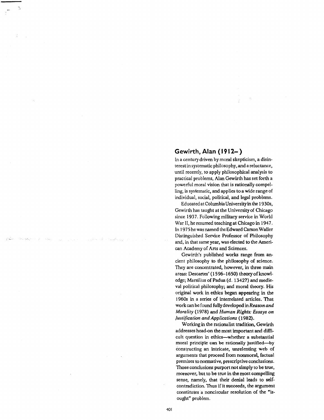### **Gewirth, Alan (I 9 12-** )

**In** a century driven by moral skepticism, a disinterest **insystematicphilosophy,and** a reluctance, until recently, to apply philosophical analysis to practical problems, Alan Gewirth has set forth a powerful moral vision that is rationally compelling, is systematic, and applies to a wide range of individual, social, political, and legal problems.

Educatedat Columbia Universityin the 1930s, Gewirth has taught at the University of Chicago since 1937. Following military service in World War 11, he resumed teaching at Chicago in 1947. In 1 97 5 he was named the Edward Carson Waller Distinguished Service Professor of Philosophy and, in that same year, was elected to the American Academy of Arts and Sciences.

Gewirth's published works range from ancient philosophy to the philosophy of science. They are concentrated, however, in three main areas: Descartes' (1596-1650) theory of knowledge; Marsilius of Padua (d. 13421) and medieval political philosophy; and moral theory. His original work in ethics **began** appearing in the 1960s in a series of interrelated articles. That work can be found fullydeveloped in *Reason and Morality* (1978) and *Human Rights: Essays on lustification and Applications* (1 982).

Working in the rationalist tradition, Gewirth addresses head-on the most important and difficult question in ethics-whether a substantial moral principle can be rationally justified-by constructing an intricate, unrelenting web of arguments that proceed from nonmoral, factual premises to normative, prescriptive conclusions. Those conclusions purport not simply to be true, moreover, but to be true in the most compelling sense, namely, that their denial leads to selfcontradiction. Thus if it succeeds, the argument constitutes a noncircular resolution of the "isought" problem.

atal e

designed discuss

a provincia de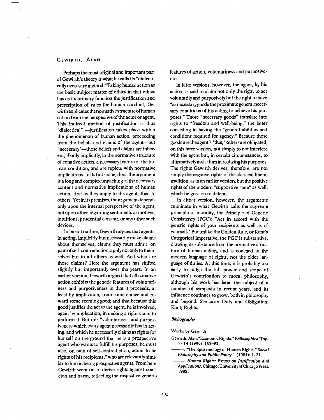#### GEWIRTH, ALAN

بترون والأول

Perhaps the most original and important part of Gewirth's theory is what he calls its "dialectically necessary method."Taking human action as the basic subject matter of ethics in that ethics has as its primary function the justification and prescription of rules for human conduct, Gewirth explicates the normative structure of human action from the perspective of the actor or agent. This indirect method of justification is thus 'dialectical" -justification takes place within the phenomenon of human action, proceeding from the beliefs and claims of the agent---but "necessary"-those beliefs and claims are inherent, if only implicitly, in the normative structure of conative action, a necessary feature of the human condition, and are replete with normative implications. Inits full scope, then, theargument is a long and complex unpacking of the necessary content and normative implications of human action, first as they apply to the agent, then to others. Yet inits premises, theargument depends only upon the internal perspective of the agent, not upon other-regarding sentiments or motives, intuitions, prudential consent, or any other such devices.

In barest outline, Gewirth argues that agents, in acting, implicitly but necessarily make claims about themselves, claims they must admit, on painof self-contradiction, apply not only to themselves but to all others as well. And what are those claims? Here the argument has shifted slightly but importantly over the years. In an earlier version, Gewirth argued that all conative action exhibits the generic features of voluntariness and purposiveness in that it proceeds, at least by impIication, from some choice and toward some seeming good; and that because this good justifies the act to the agent, he is involved, again by implication, in making a right-claim to perform it. But this 'voluntariness and purposiveness which every agent necessarily has in acting, and which he necessarily claims as rights for himself on the ground that he is a prospective agent who wants to fulfill his purposes, he must aIso, on pain of self-contradiction, admit to be rights of his recipients." who are relevantly similar to him in being prospective agents. From here Gewirth went on to derive rights against coercion and harm, reflecting the respective generic features of action, voluntariness and purposiveness.

In later versions, however, the agent, by his action, is said to claim not only the right to act voluntarily and purposively but the right to have 'as necessary goods the proximate general necessary conditions of his acting to achieve his purposes." Those "necessary goods" translate into rights to "freedom and well-being," the latter consisting in having the "general abilities and conditions required for agency." Because those goods are theagent's 'due," others are obligated, on this later version, not simply to not interfere with the agent but, in certain circumstances, to affirmatively assist him in realizing his purposes. The rights Gewirth derives, therefore, are not simply the negative rights of the classical liberal tradition, as in an earlier version, but the positive rights of the modem "supportive state" as well, which he goes on to defend.

In either version, however, the arguments culminate in what Gewirth calls the supreme principle of morality, the Principle of Generic Consistency (PGC): "Act in accord with the generic rights of your recipients as well as of yourself." But unlike the Golden Rule, or Kant's Categorical Imperative, the PGC is substantive, drawing its substance from the normative structure of human action, and is couched in the modem language of rights, not the older language of duties. At this time, it is probably too early to judge the full power and scope of Gewirth's contribution to moral philosophy, although his work. has been the subject of a number of symposia in recent years, and its influence continues to grow, both in philosophy and beyond. **See** also: Duty and Obligation; Kant; Rights.

#### **Bibliography**

**Works by Gewirth** 

- Gewirth. Alan.'EconomicRights." *Philosophical Top***ics 14 (1986): 169-93.**
- -. "Ihe Epistemology of Human Rights." *Social Philosophy and Public Policy* **1 (1984): 1-24.**
- Works by Gewirth<br>Gewirth, Alan. "Economic Rights." *Philosophical Top-<br>ics* 14 (1986): 169–93.<br>**--------**. "The Epistemology of Human Rights." *Social<br>Philosophy and Public Policy* 1 (1984): 1–24.<br>-------. *Human Rights: E Applications.* Chicago: University of Chicago Press. **1982.**